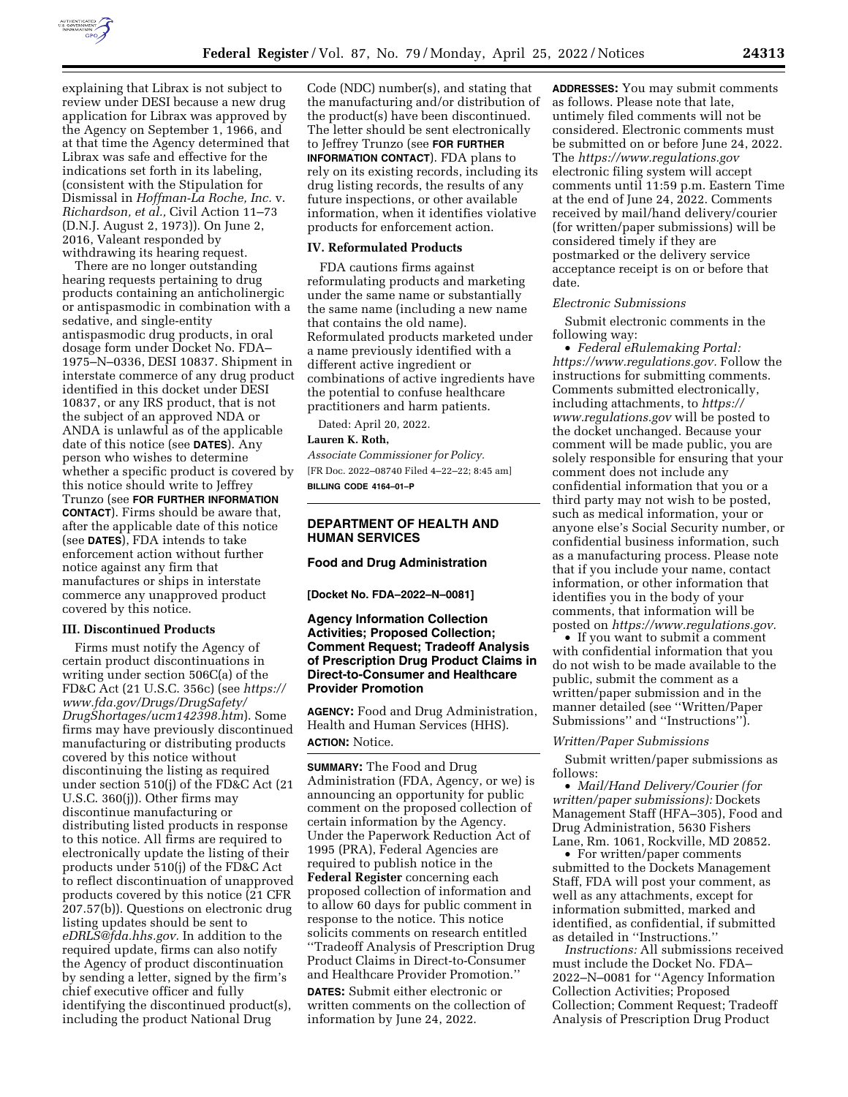

explaining that Librax is not subject to review under DESI because a new drug application for Librax was approved by the Agency on September 1, 1966, and at that time the Agency determined that Librax was safe and effective for the indications set forth in its labeling, (consistent with the Stipulation for Dismissal in *Hoffman-La Roche, Inc.* v. *Richardson, et al.,* Civil Action 11–73 (D.N.J. August 2, 1973)). On June 2, 2016, Valeant responded by withdrawing its hearing request.

There are no longer outstanding hearing requests pertaining to drug products containing an anticholinergic or antispasmodic in combination with a sedative, and single-entity antispasmodic drug products, in oral dosage form under Docket No. FDA– 1975–N–0336, DESI 10837. Shipment in interstate commerce of any drug product identified in this docket under DESI 10837, or any IRS product, that is not the subject of an approved NDA or ANDA is unlawful as of the applicable date of this notice (see **DATES**). Any person who wishes to determine whether a specific product is covered by this notice should write to Jeffrey Trunzo (see **FOR FURTHER INFORMATION CONTACT**). Firms should be aware that, after the applicable date of this notice (see **DATES**), FDA intends to take enforcement action without further notice against any firm that manufactures or ships in interstate commerce any unapproved product covered by this notice.

### **III. Discontinued Products**

Firms must notify the Agency of certain product discontinuations in writing under section 506C(a) of the FD&C Act (21 U.S.C. 356c) (see *[https://](https://www.fda.gov/Drugs/DrugSafety/DrugShortages/ucm142398.htm) [www.fda.gov/Drugs/DrugSafety/](https://www.fda.gov/Drugs/DrugSafety/DrugShortages/ucm142398.htm) [DrugShortages/ucm142398.htm](https://www.fda.gov/Drugs/DrugSafety/DrugShortages/ucm142398.htm)*). Some firms may have previously discontinued manufacturing or distributing products covered by this notice without discontinuing the listing as required under section 510(j) of the FD&C Act (21 U.S.C. 360(j)). Other firms may discontinue manufacturing or distributing listed products in response to this notice. All firms are required to electronically update the listing of their products under 510(j) of the FD&C Act to reflect discontinuation of unapproved products covered by this notice (21 CFR 207.57(b)). Questions on electronic drug listing updates should be sent to *[eDRLS@fda.hhs.gov.](mailto:eDRLS@fda.hhs.gov)* In addition to the required update, firms can also notify the Agency of product discontinuation by sending a letter, signed by the firm's chief executive officer and fully identifying the discontinued product(s), including the product National Drug

Code (NDC) number(s), and stating that the manufacturing and/or distribution of the product(s) have been discontinued. The letter should be sent electronically to Jeffrey Trunzo (see **FOR FURTHER INFORMATION CONTACT**). FDA plans to rely on its existing records, including its drug listing records, the results of any future inspections, or other available information, when it identifies violative products for enforcement action.

### **IV. Reformulated Products**

FDA cautions firms against reformulating products and marketing under the same name or substantially the same name (including a new name that contains the old name). Reformulated products marketed under a name previously identified with a different active ingredient or combinations of active ingredients have the potential to confuse healthcare practitioners and harm patients.

Dated: April 20, 2022.

## **Lauren K. Roth,**

*Associate Commissioner for Policy.*  [FR Doc. 2022–08740 Filed 4–22–22; 8:45 am] **BILLING CODE 4164–01–P** 

## **DEPARTMENT OF HEALTH AND HUMAN SERVICES**

### **Food and Drug Administration**

**[Docket No. FDA–2022–N–0081]** 

### **Agency Information Collection Activities; Proposed Collection; Comment Request; Tradeoff Analysis of Prescription Drug Product Claims in Direct-to-Consumer and Healthcare Provider Promotion**

**AGENCY:** Food and Drug Administration, Health and Human Services (HHS).

# **ACTION:** Notice.

**SUMMARY:** The Food and Drug Administration (FDA, Agency, or we) is announcing an opportunity for public comment on the proposed collection of certain information by the Agency. Under the Paperwork Reduction Act of 1995 (PRA), Federal Agencies are required to publish notice in the **Federal Register** concerning each proposed collection of information and to allow 60 days for public comment in response to the notice. This notice solicits comments on research entitled ''Tradeoff Analysis of Prescription Drug Product Claims in Direct-to-Consumer and Healthcare Provider Promotion.''

**DATES:** Submit either electronic or written comments on the collection of information by June 24, 2022.

**ADDRESSES:** You may submit comments as follows. Please note that late, untimely filed comments will not be considered. Electronic comments must be submitted on or before June 24, 2022. The *<https://www.regulations.gov>* electronic filing system will accept comments until 11:59 p.m. Eastern Time at the end of June 24, 2022. Comments received by mail/hand delivery/courier (for written/paper submissions) will be considered timely if they are postmarked or the delivery service acceptance receipt is on or before that date.

### *Electronic Submissions*

Submit electronic comments in the following way:

• *Federal eRulemaking Portal: [https://www.regulations.gov.](https://www.regulations.gov)* Follow the instructions for submitting comments. Comments submitted electronically, including attachments, to *[https://](https://www.regulations.gov) [www.regulations.gov](https://www.regulations.gov)* will be posted to the docket unchanged. Because your comment will be made public, you are solely responsible for ensuring that your comment does not include any confidential information that you or a third party may not wish to be posted, such as medical information, your or anyone else's Social Security number, or confidential business information, such as a manufacturing process. Please note that if you include your name, contact information, or other information that identifies you in the body of your comments, that information will be posted on *[https://www.regulations.gov.](https://www.regulations.gov)* 

• If you want to submit a comment with confidential information that you do not wish to be made available to the public, submit the comment as a written/paper submission and in the manner detailed (see ''Written/Paper Submissions'' and ''Instructions'').

#### *Written/Paper Submissions*

Submit written/paper submissions as follows:

• *Mail/Hand Delivery/Courier (for written/paper submissions):* Dockets Management Staff (HFA–305), Food and Drug Administration, 5630 Fishers Lane, Rm. 1061, Rockville, MD 20852.

• For written/paper comments submitted to the Dockets Management Staff, FDA will post your comment, as well as any attachments, except for information submitted, marked and identified, as confidential, if submitted as detailed in ''Instructions.''

*Instructions:* All submissions received must include the Docket No. FDA– 2022–N–0081 for ''Agency Information Collection Activities; Proposed Collection; Comment Request; Tradeoff Analysis of Prescription Drug Product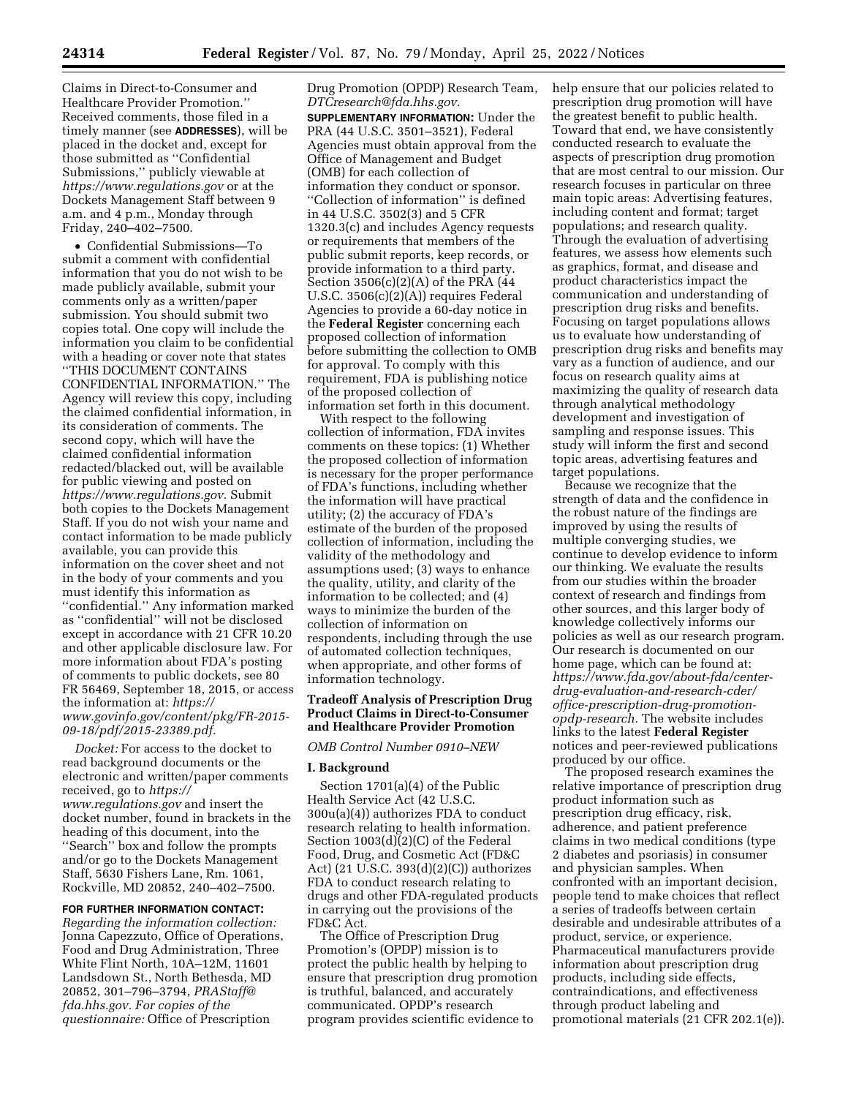Claims in Direct-to-Consumer and Healthcare Provider Promotion.'' Received comments, those filed in a timely manner (see **ADDRESSES**), will be placed in the docket and, except for those submitted as ''Confidential Submissions,'' publicly viewable at *<https://www.regulations.gov>* or at the Dockets Management Staff between 9 a.m. and 4 p.m., Monday through Friday, 240–402–7500.

• Confidential Submissions—To submit a comment with confidential information that you do not wish to be made publicly available, submit your comments only as a written/paper submission. You should submit two copies total. One copy will include the information you claim to be confidential with a heading or cover note that states ''THIS DOCUMENT CONTAINS CONFIDENTIAL INFORMATION.'' The Agency will review this copy, including the claimed confidential information, in its consideration of comments. The second copy, which will have the claimed confidential information redacted/blacked out, will be available for public viewing and posted on *[https://www.regulations.gov.](https://www.regulations.gov)* Submit both copies to the Dockets Management Staff. If you do not wish your name and contact information to be made publicly available, you can provide this information on the cover sheet and not in the body of your comments and you must identify this information as ''confidential.'' Any information marked as ''confidential'' will not be disclosed except in accordance with 21 CFR 10.20 and other applicable disclosure law. For more information about FDA's posting of comments to public dockets, see 80 FR 56469, September 18, 2015, or access the information at: *[https://](https://www.govinfo.gov/content/pkg/FR-2015-09-18/pdf/2015-23389.pdf) [www.govinfo.gov/content/pkg/FR-2015-](https://www.govinfo.gov/content/pkg/FR-2015-09-18/pdf/2015-23389.pdf) [09-18/pdf/2015-23389.pdf.](https://www.govinfo.gov/content/pkg/FR-2015-09-18/pdf/2015-23389.pdf)* 

*Docket:* For access to the docket to read background documents or the electronic and written/paper comments received, go to *[https://](https://www.regulations.gov) [www.regulations.gov](https://www.regulations.gov)* and insert the docket number, found in brackets in the heading of this document, into the "Search" box and follow the prompts and/or go to the Dockets Management Staff, 5630 Fishers Lane, Rm. 1061, Rockville, MD 20852, 240–402–7500.

# **FOR FURTHER INFORMATION CONTACT:**

*Regarding the information collection:*  Jonna Capezzuto, Office of Operations, Food and Drug Administration, Three White Flint North, 10A–12M, 11601 Landsdown St., North Bethesda, MD 20852, 301–796–3794, *[PRAStaff@](mailto:PRAStaff@fda.hhs.gov) [fda.hhs.gov.](mailto:PRAStaff@fda.hhs.gov) For copies of the questionnaire:* Office of Prescription

Drug Promotion (OPDP) Research Team, *[DTCresearch@fda.hhs.gov.](mailto:DTCresearch@fda.hhs.gov)*  **SUPPLEMENTARY INFORMATION:** Under the PRA (44 U.S.C. 3501–3521), Federal Agencies must obtain approval from the Office of Management and Budget (OMB) for each collection of information they conduct or sponsor. ''Collection of information'' is defined in 44 U.S.C. 3502(3) and 5 CFR 1320.3(c) and includes Agency requests or requirements that members of the public submit reports, keep records, or provide information to a third party. Section 3506(c)(2)(A) of the PRA (44 U.S.C. 3506(c)(2)(A)) requires Federal Agencies to provide a 60-day notice in the **Federal Register** concerning each proposed collection of information before submitting the collection to OMB for approval. To comply with this requirement, FDA is publishing notice of the proposed collection of information set forth in this document.

With respect to the following collection of information, FDA invites comments on these topics: (1) Whether the proposed collection of information is necessary for the proper performance of FDA's functions, including whether the information will have practical utility; (2) the accuracy of FDA's estimate of the burden of the proposed collection of information, including the validity of the methodology and assumptions used; (3) ways to enhance the quality, utility, and clarity of the information to be collected; and (4) ways to minimize the burden of the collection of information on respondents, including through the use of automated collection techniques, when appropriate, and other forms of information technology.

## **Tradeoff Analysis of Prescription Drug Product Claims in Direct-to-Consumer and Healthcare Provider Promotion**

#### *OMB Control Number 0910–NEW*

### **I. Background**

Section 1701(a)(4) of the Public Health Service Act (42 U.S.C. 300u(a)(4)) authorizes FDA to conduct research relating to health information. Section 1003(d)(2)(C) of the Federal Food, Drug, and Cosmetic Act (FD&C Act) (21 U.S.C. 393(d)(2)(C)) authorizes FDA to conduct research relating to drugs and other FDA-regulated products in carrying out the provisions of the FD&C Act.

The Office of Prescription Drug Promotion's (OPDP) mission is to protect the public health by helping to ensure that prescription drug promotion is truthful, balanced, and accurately communicated. OPDP's research program provides scientific evidence to

help ensure that our policies related to prescription drug promotion will have the greatest benefit to public health. Toward that end, we have consistently conducted research to evaluate the aspects of prescription drug promotion that are most central to our mission. Our research focuses in particular on three main topic areas: Advertising features, including content and format; target populations; and research quality. Through the evaluation of advertising features, we assess how elements such as graphics, format, and disease and product characteristics impact the communication and understanding of prescription drug risks and benefits. Focusing on target populations allows us to evaluate how understanding of prescription drug risks and benefits may vary as a function of audience, and our focus on research quality aims at maximizing the quality of research data through analytical methodology development and investigation of sampling and response issues. This study will inform the first and second topic areas, advertising features and target populations.

Because we recognize that the strength of data and the confidence in the robust nature of the findings are improved by using the results of multiple converging studies, we continue to develop evidence to inform our thinking. We evaluate the results from our studies within the broader context of research and findings from other sources, and this larger body of knowledge collectively informs our policies as well as our research program. Our research is documented on our home page, which can be found at: *[https://www.fda.gov/about-fda/center](https://www.fda.gov/about-fda/center-drug-evaluation-and-research-cder/office-prescription-drug-promotion-opdp-research)[drug-evaluation-and-research-cder/](https://www.fda.gov/about-fda/center-drug-evaluation-and-research-cder/office-prescription-drug-promotion-opdp-research)  [office-prescription-drug-promotion](https://www.fda.gov/about-fda/center-drug-evaluation-and-research-cder/office-prescription-drug-promotion-opdp-research)[opdp-research.](https://www.fda.gov/about-fda/center-drug-evaluation-and-research-cder/office-prescription-drug-promotion-opdp-research)* The website includes links to the latest **Federal Register**  notices and peer-reviewed publications produced by our office.

The proposed research examines the relative importance of prescription drug product information such as prescription drug efficacy, risk, adherence, and patient preference claims in two medical conditions (type 2 diabetes and psoriasis) in consumer and physician samples. When confronted with an important decision, people tend to make choices that reflect a series of tradeoffs between certain desirable and undesirable attributes of a product, service, or experience. Pharmaceutical manufacturers provide information about prescription drug products, including side effects, contraindications, and effectiveness through product labeling and promotional materials (21 CFR 202.1(e)).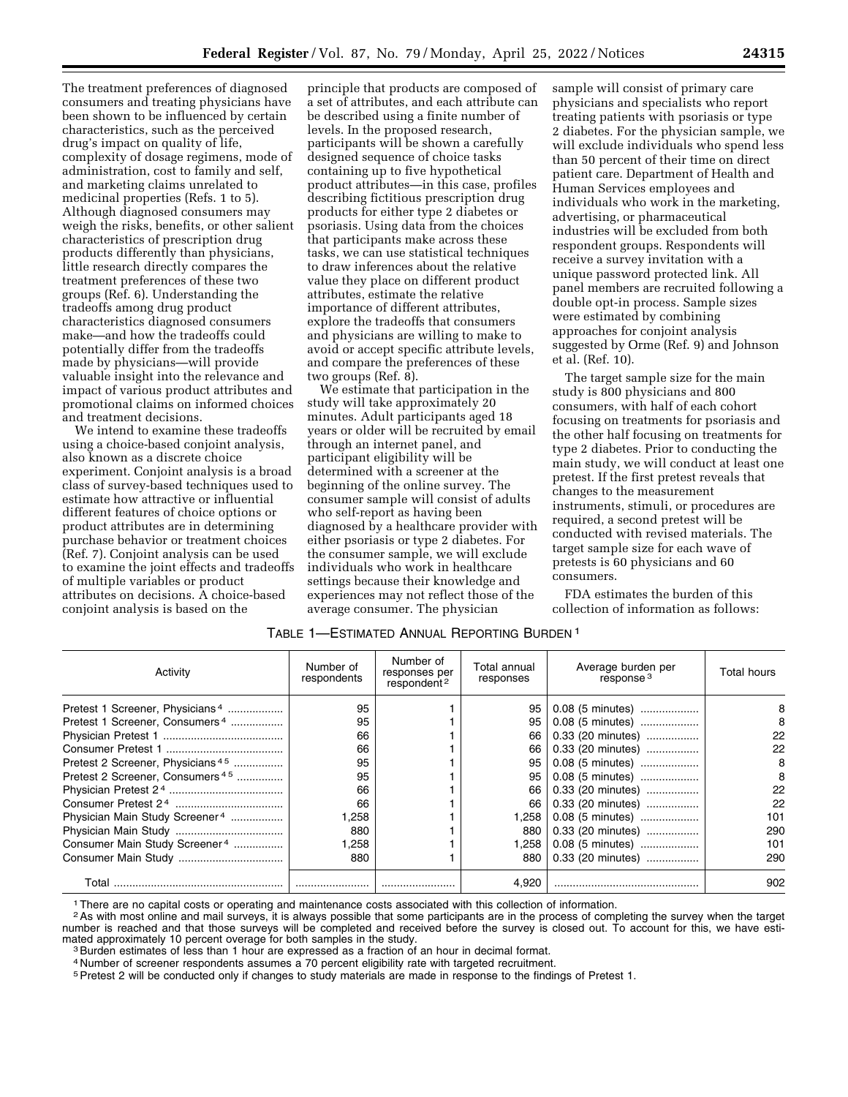The treatment preferences of diagnosed consumers and treating physicians have been shown to be influenced by certain characteristics, such as the perceived drug's impact on quality of life, complexity of dosage regimens, mode of administration, cost to family and self, and marketing claims unrelated to medicinal properties (Refs. 1 to 5). Although diagnosed consumers may weigh the risks, benefits, or other salient characteristics of prescription drug products differently than physicians, little research directly compares the treatment preferences of these two groups (Ref. 6). Understanding the tradeoffs among drug product characteristics diagnosed consumers make—and how the tradeoffs could potentially differ from the tradeoffs made by physicians—will provide valuable insight into the relevance and impact of various product attributes and promotional claims on informed choices and treatment decisions.

We intend to examine these tradeoffs using a choice-based conjoint analysis, also known as a discrete choice experiment. Conjoint analysis is a broad class of survey-based techniques used to estimate how attractive or influential different features of choice options or product attributes are in determining purchase behavior or treatment choices (Ref. 7). Conjoint analysis can be used to examine the joint effects and tradeoffs of multiple variables or product attributes on decisions. A choice-based conjoint analysis is based on the

principle that products are composed of a set of attributes, and each attribute can be described using a finite number of levels. In the proposed research, participants will be shown a carefully designed sequence of choice tasks containing up to five hypothetical product attributes—in this case, profiles describing fictitious prescription drug products for either type 2 diabetes or psoriasis. Using data from the choices that participants make across these tasks, we can use statistical techniques to draw inferences about the relative value they place on different product attributes, estimate the relative importance of different attributes, explore the tradeoffs that consumers and physicians are willing to make to avoid or accept specific attribute levels, and compare the preferences of these two groups (Ref. 8).

We estimate that participation in the study will take approximately 20 minutes. Adult participants aged 18 years or older will be recruited by email through an internet panel, and participant eligibility will be determined with a screener at the beginning of the online survey. The consumer sample will consist of adults who self-report as having been diagnosed by a healthcare provider with either psoriasis or type 2 diabetes. For the consumer sample, we will exclude individuals who work in healthcare settings because their knowledge and experiences may not reflect those of the average consumer. The physician

sample will consist of primary care physicians and specialists who report treating patients with psoriasis or type 2 diabetes. For the physician sample, we will exclude individuals who spend less than 50 percent of their time on direct patient care. Department of Health and Human Services employees and individuals who work in the marketing, advertising, or pharmaceutical industries will be excluded from both respondent groups. Respondents will receive a survey invitation with a unique password protected link. All panel members are recruited following a double opt-in process. Sample sizes were estimated by combining approaches for conjoint analysis suggested by Orme (Ref. 9) and Johnson et al. (Ref. 10).

The target sample size for the main study is 800 physicians and 800 consumers, with half of each cohort focusing on treatments for psoriasis and the other half focusing on treatments for type 2 diabetes. Prior to conducting the main study, we will conduct at least one pretest. If the first pretest reveals that changes to the measurement instruments, stimuli, or procedures are required, a second pretest will be conducted with revised materials. The target sample size for each wave of pretests is 60 physicians and 60 consumers.

FDA estimates the burden of this collection of information as follows:

| TABLE 1—ESTIMATED ANNUAL REPORTING BURDEN 1 |  |
|---------------------------------------------|--|
|---------------------------------------------|--|

| Activity                                     | Number of<br>respondents | Number of<br>responses per<br>respondent <sup>2</sup> | Total annual<br>responses | Average burden per<br>response <sup>3</sup> | Total hours |
|----------------------------------------------|--------------------------|-------------------------------------------------------|---------------------------|---------------------------------------------|-------------|
| Pretest 1 Screener, Physicians <sup>4</sup>  | 95                       |                                                       | 95                        | 0.08 (5 minutes)                            |             |
| Pretest 1 Screener, Consumers <sup>4</sup>   | 95                       |                                                       | 95                        | 0.08 (5 minutes)                            | 8           |
|                                              | 66                       |                                                       | 66                        | 0.33 (20 minutes)                           | 22          |
|                                              | 66                       |                                                       | 66                        | 0.33 (20 minutes)                           | 22          |
| Pretest 2 Screener, Physicians <sup>45</sup> | 95                       |                                                       | 95                        | 0.08 (5 minutes)                            | 8           |
| Pretest 2 Screener, Consumers <sup>45</sup>  | 95                       |                                                       | 95                        | 0.08 (5 minutes)                            | 8           |
|                                              | 66                       |                                                       | 66                        | 0.33 (20 minutes)                           | 22          |
|                                              | 66                       |                                                       | 66                        | 0.33 (20 minutes)                           | 22          |
| Physician Main Study Screener <sup>4</sup>   | .258                     |                                                       | 1.258                     | 0.08 (5 minutes)                            | 101         |
|                                              | 880                      |                                                       | 880                       | 0.33 (20 minutes)                           | 290         |
| Consumer Main Study Screener <sup>4</sup>    | 258. ا                   |                                                       | 1,258                     | 0.08 (5 minutes)                            | 101         |
|                                              | 880                      |                                                       | 880                       | 0.33 (20 minutes)                           | 290         |
| Total                                        |                          |                                                       | 4.920                     |                                             | 902         |

1There are no capital costs or operating and maintenance costs associated with this collection of information.

<sup>2</sup>As with most online and mail surveys, it is always possible that some participants are in the process of completing the survey when the target number is reached and that those surveys will be completed and received before the survey is closed out. To account for this, we have esti-<br>mated approximately 10 percent overage for both samples in the study.

<sup>3</sup> Burden estimates of less than 1 hour are expressed as a fraction of an hour in decimal format.

4 Number of screener respondents assumes a 70 percent eligibility rate with targeted recruitment.

5Pretest 2 will be conducted only if changes to study materials are made in response to the findings of Pretest 1.